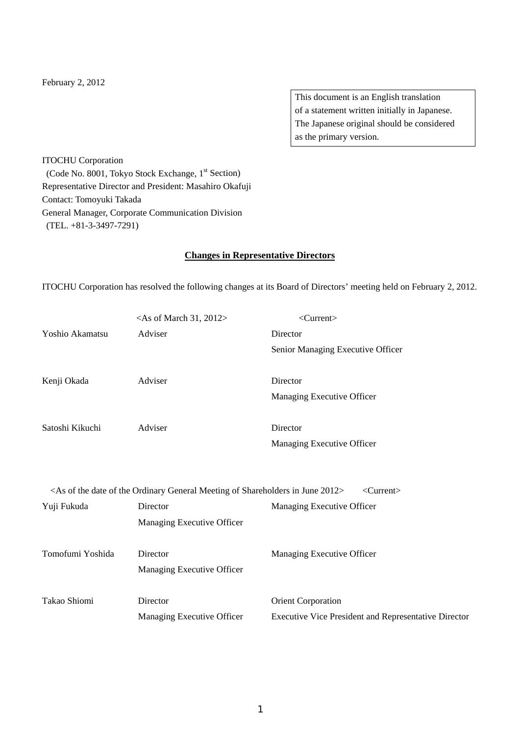#### February 2, 2012

This document is an English translation of a statement written initially in Japanese. The Japanese original should be considered as the primary version.

ITOCHU Corporation (Code No. 8001, Tokyo Stock Exchange, 1<sup>st</sup> Section) Representative Director and President: Masahiro Okafuji Contact: Tomoyuki Takada General Manager, Corporate Communication Division (TEL. +81-3-3497-7291)

#### **Changes in Representative Directors**

ITOCHU Corporation has resolved the following changes at its Board of Directors' meeting held on February 2, 2012.

|                  | $<$ As of March 31, 2012>                                                                              | $\langle$ Current $\rangle$                                 |
|------------------|--------------------------------------------------------------------------------------------------------|-------------------------------------------------------------|
| Yoshio Akamatsu  | Adviser                                                                                                | Director                                                    |
|                  |                                                                                                        | Senior Managing Executive Officer                           |
|                  |                                                                                                        |                                                             |
| Kenji Okada      | Adviser                                                                                                | Director                                                    |
|                  |                                                                                                        | Managing Executive Officer                                  |
| Satoshi Kikuchi  | Adviser                                                                                                | Director                                                    |
|                  |                                                                                                        | Managing Executive Officer                                  |
|                  |                                                                                                        |                                                             |
|                  | <as 2012="" date="" general="" in="" june="" meeting="" of="" ordinary="" shareholders="" the=""></as> | $\langle$ Current $\rangle$                                 |
| Yuji Fukuda      | Director                                                                                               | Managing Executive Officer                                  |
|                  | Managing Executive Officer                                                                             |                                                             |
| Tomofumi Yoshida | Director                                                                                               | Managing Executive Officer                                  |
|                  | Managing Executive Officer                                                                             |                                                             |
| Takao Shiomi     | Director                                                                                               |                                                             |
|                  |                                                                                                        | Orient Corporation                                          |
|                  | Managing Executive Officer                                                                             | <b>Executive Vice President and Representative Director</b> |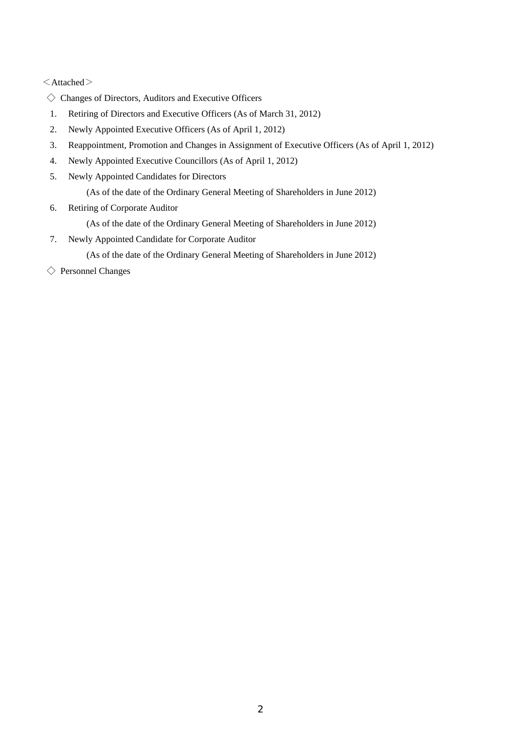$\leq$ Attached $>$ 

- $\diamondsuit$  Changes of Directors, Auditors and Executive Officers
- 1. Retiring of Directors and Executive Officers (As of March 31, 2012)
- 2. Newly Appointed Executive Officers (As of April 1, 2012)
- 3. Reappointment, Promotion and Changes in Assignment of Executive Officers (As of April 1, 2012)
- 4. Newly Appointed Executive Councillors (As of April 1, 2012)
- 5. Newly Appointed Candidates for Directors

(As of the date of the Ordinary General Meeting of Shareholders in June 2012)

- 6. Retiring of Corporate Auditor
	- (As of the date of the Ordinary General Meeting of Shareholders in June 2012)
- 7. Newly Appointed Candidate for Corporate Auditor

(As of the date of the Ordinary General Meeting of Shareholders in June 2012)

◇ Personnel Changes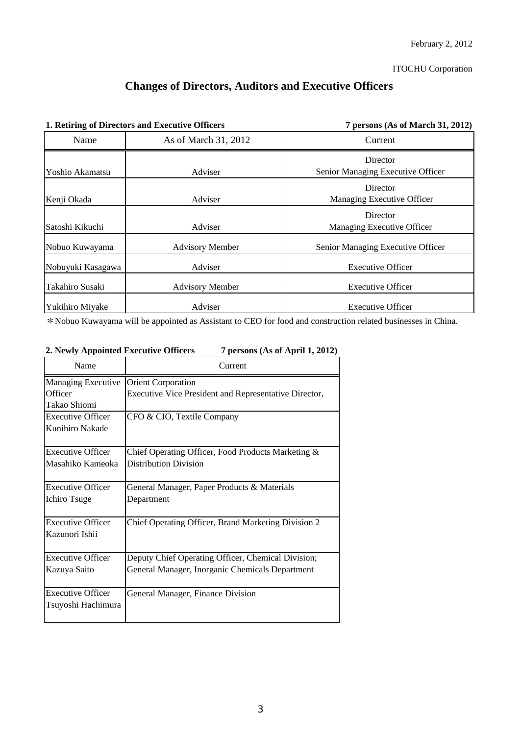# **Changes of Directors, Auditors and Executive Officers**

| 1. Retiring of Directors and Executive Officers |                        | 7 persons (As of March 31, 2012)              |  |
|-------------------------------------------------|------------------------|-----------------------------------------------|--|
| Name                                            | As of March 31, 2012   | Current                                       |  |
| Yoshio Akamatsu                                 | Adviser                | Director<br>Senior Managing Executive Officer |  |
| Kenji Okada                                     | Adviser                | Director<br>Managing Executive Officer        |  |
| Satoshi Kikuchi                                 | Adviser                | Director<br>Managing Executive Officer        |  |
| Nobuo Kuwayama                                  | <b>Advisory Member</b> | Senior Managing Executive Officer             |  |
| Nobuyuki Kasagawa                               | Adviser                | <b>Executive Officer</b>                      |  |
| Takahiro Susaki                                 | <b>Advisory Member</b> | <b>Executive Officer</b>                      |  |
| Yukihiro Miyake                                 | Adviser                | <b>Executive Officer</b>                      |  |

\*Nobuo Kuwayama will be appointed as Assistant to CEO for food and construction related businesses in China.

| Name                     | Current                                                      |
|--------------------------|--------------------------------------------------------------|
| Managing Executive       | <b>Orient Corporation</b>                                    |
| Officer                  | <b>Executive Vice President and Representative Director,</b> |
| Takao Shiomi             |                                                              |
| <b>Executive Officer</b> | CFO & CIO, Textile Company                                   |
| Kunihiro Nakade          |                                                              |
| <b>Executive Officer</b> | Chief Operating Officer, Food Products Marketing &           |
| Masahiko Kameoka         | <b>Distribution Division</b>                                 |
| <b>Executive Officer</b> | General Manager, Paper Products & Materials                  |
| Ichiro Tsuge             | Department                                                   |
| <b>Executive Officer</b> | <b>Chief Operating Officer, Brand Marketing Division 2</b>   |
| Kazunori Ishii           |                                                              |
| <b>Executive Officer</b> | Deputy Chief Operating Officer, Chemical Division;           |
| Kazuya Saito             | General Manager, Inorganic Chemicals Department              |
| <b>Executive Officer</b> | General Manager, Finance Division                            |
| Tsuyoshi Hachimura       |                                                              |

## **2. Newly Appointed Executive Officers 7 persons (As of April 1, 2012)**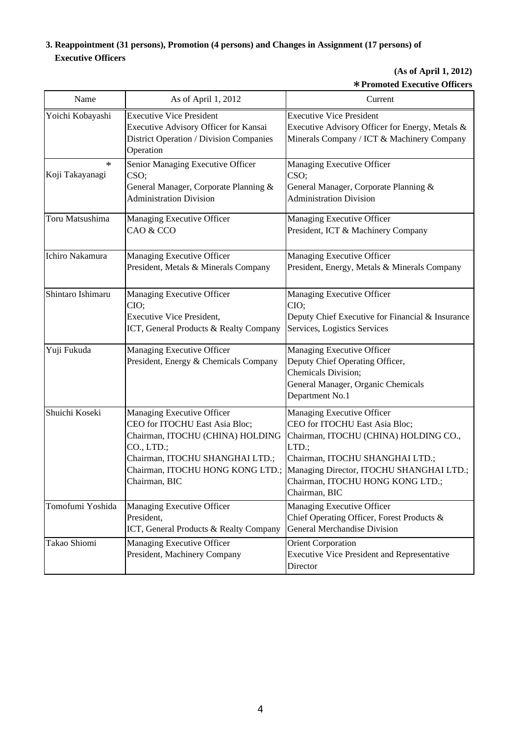## **3. Reappointment (31 persons), Promotion (4 persons) and Changes in Assignment (17 persons) of Executive Officers**

## **(As of April 1, 2012)** \***Promoted Executive Officers**

| Name                      | As of April 1, 2012                                                                                                                                                                                    | Current                                                                                                                                                                                                                                            |
|---------------------------|--------------------------------------------------------------------------------------------------------------------------------------------------------------------------------------------------------|----------------------------------------------------------------------------------------------------------------------------------------------------------------------------------------------------------------------------------------------------|
| Yoichi Kobayashi          | <b>Executive Vice President</b><br>Executive Advisory Officer for Kansai<br><b>District Operation / Division Companies</b><br>Operation                                                                | <b>Executive Vice President</b><br>Executive Advisory Officer for Energy, Metals &<br>Minerals Company / ICT & Machinery Company                                                                                                                   |
| $\ast$<br>Koji Takayanagi | Senior Managing Executive Officer<br>CSO;<br>General Manager, Corporate Planning &<br><b>Administration Division</b>                                                                                   | Managing Executive Officer<br>CSO;<br>General Manager, Corporate Planning &<br><b>Administration Division</b>                                                                                                                                      |
| Toru Matsushima           | Managing Executive Officer<br>CAO & CCO                                                                                                                                                                | Managing Executive Officer<br>President, ICT & Machinery Company                                                                                                                                                                                   |
| Ichiro Nakamura           | Managing Executive Officer<br>President, Metals & Minerals Company                                                                                                                                     | Managing Executive Officer<br>President, Energy, Metals & Minerals Company                                                                                                                                                                         |
| Shintaro Ishimaru         | Managing Executive Officer<br>CIO;<br><b>Executive Vice President,</b><br>ICT, General Products & Realty Company                                                                                       | Managing Executive Officer<br>CIO;<br>Deputy Chief Executive for Financial & Insurance<br>Services, Logistics Services                                                                                                                             |
| Yuji Fukuda               | Managing Executive Officer<br>President, Energy & Chemicals Company                                                                                                                                    | Managing Executive Officer<br>Deputy Chief Operating Officer,<br>Chemicals Division;<br>General Manager, Organic Chemicals<br>Department No.1                                                                                                      |
| Shuichi Koseki            | Managing Executive Officer<br>CEO for ITOCHU East Asia Bloc;<br>Chairman, ITOCHU (CHINA) HOLDING<br>CO., LTD.;<br>Chairman, ITOCHU SHANGHAI LTD.;<br>Chairman, ITOCHU HONG KONG LTD.;<br>Chairman, BIC | Managing Executive Officer<br>CEO for ITOCHU East Asia Bloc;<br>Chairman, ITOCHU (CHINA) HOLDING CO.,<br>LTD.;<br>Chairman, ITOCHU SHANGHAI LTD.;<br>Managing Director, ITOCHU SHANGHAI LTD.;<br>Chairman, ITOCHU HONG KONG LTD.;<br>Chairman, BIC |
| Tomofumi Yoshida          | Managing Executive Officer<br>President,<br>ICT, General Products & Realty Company                                                                                                                     | Managing Executive Officer<br>Chief Operating Officer, Forest Products &<br><b>General Merchandise Division</b>                                                                                                                                    |
| Takao Shiomi              | Managing Executive Officer<br>President, Machinery Company                                                                                                                                             | <b>Orient Corporation</b><br><b>Executive Vice President and Representative</b><br>Director                                                                                                                                                        |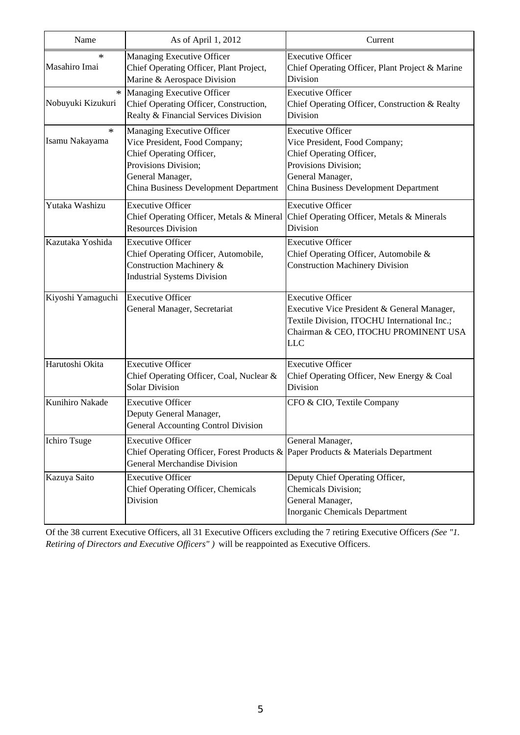| Name                        | As of April 1, 2012                                                                                                                                                          | Current                                                                                                                                                                       |
|-----------------------------|------------------------------------------------------------------------------------------------------------------------------------------------------------------------------|-------------------------------------------------------------------------------------------------------------------------------------------------------------------------------|
| ∗<br>Masahiro Imai          | Managing Executive Officer<br>Chief Operating Officer, Plant Project,<br>Marine & Aerospace Division                                                                         | <b>Executive Officer</b><br>Chief Operating Officer, Plant Project & Marine<br>Division                                                                                       |
| $\ast$<br>Nobuyuki Kizukuri | Managing Executive Officer<br>Chief Operating Officer, Construction,<br>Realty & Financial Services Division                                                                 | <b>Executive Officer</b><br>Chief Operating Officer, Construction & Realty<br>Division                                                                                        |
| $\ast$<br>Isamu Nakayama    | Managing Executive Officer<br>Vice President, Food Company;<br>Chief Operating Officer,<br>Provisions Division;<br>General Manager,<br>China Business Development Department | <b>Executive Officer</b><br>Vice President, Food Company;<br>Chief Operating Officer,<br>Provisions Division;<br>General Manager,<br>China Business Development Department    |
| Yutaka Washizu              | <b>Executive Officer</b><br>Chief Operating Officer, Metals & Mineral<br><b>Resources Division</b>                                                                           | <b>Executive Officer</b><br>Chief Operating Officer, Metals & Minerals<br>Division                                                                                            |
| Kazutaka Yoshida            | <b>Executive Officer</b><br>Chief Operating Officer, Automobile,<br>Construction Machinery &<br><b>Industrial Systems Division</b>                                           | <b>Executive Officer</b><br>Chief Operating Officer, Automobile &<br><b>Construction Machinery Division</b>                                                                   |
| Kiyoshi Yamaguchi           | <b>Executive Officer</b><br>General Manager, Secretariat                                                                                                                     | <b>Executive Officer</b><br>Executive Vice President & General Manager,<br>Textile Division, ITOCHU International Inc.;<br>Chairman & CEO, ITOCHU PROMINENT USA<br><b>LLC</b> |
| Harutoshi Okita             | <b>Executive Officer</b><br>Chief Operating Officer, Coal, Nuclear &<br><b>Solar Division</b>                                                                                | <b>Executive Officer</b><br>Chief Operating Officer, New Energy & Coal<br>Division                                                                                            |
| Kunihiro Nakade             | <b>Executive Officer</b><br>Deputy General Manager,<br><b>General Accounting Control Division</b>                                                                            | CFO & CIO, Textile Company                                                                                                                                                    |
| <b>Ichiro Tsuge</b>         | <b>Executive Officer</b><br>Chief Operating Officer, Forest Products & Paper Products & Materials Department<br><b>General Merchandise Division</b>                          | General Manager,                                                                                                                                                              |
| Kazuya Saito                | <b>Executive Officer</b><br>Chief Operating Officer, Chemicals<br>Division                                                                                                   | Deputy Chief Operating Officer,<br>Chemicals Division;<br>General Manager,<br><b>Inorganic Chemicals Department</b>                                                           |

Of the 38 current Executive Officers, all 31 Executive Officers excluding the 7 retiring Executive Officers *(See "1. Retiring of Directors and Executive Officers" )* will be reappointed as Executive Officers.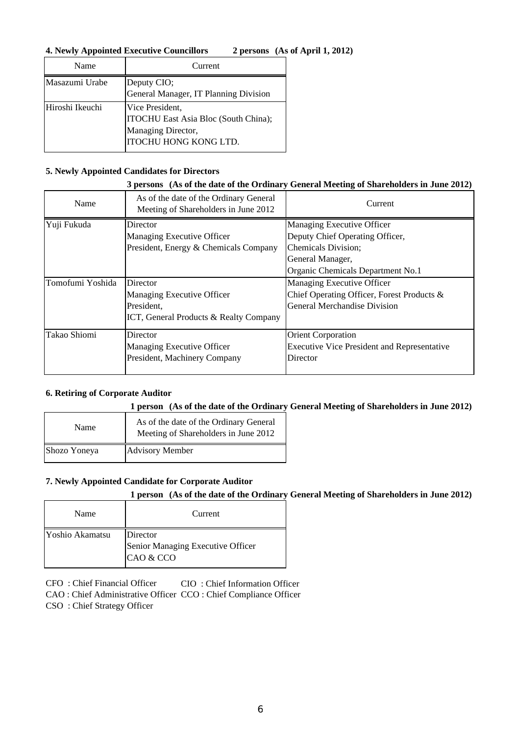## **4. Newly Appointed Executive Councillors 2 persons (As of April 1, 2012)**

| Name            | Current                                                                                                |
|-----------------|--------------------------------------------------------------------------------------------------------|
| Masazumi Urabe  | Deputy CIO;<br>General Manager, IT Planning Division                                                   |
| Hiroshi Ikeuchi | Vice President,<br>ITOCHU East Asia Bloc (South China);<br>Managing Director,<br>ITOCHU HONG KONG LTD. |

## **5. Newly Appointed Candidates for Directors**

#### **3 persons (As of the date of the Ordinary General Meeting of Shareholders in June 2012)**

| Name             | As of the date of the Ordinary General<br>Meeting of Shareholders in June 2012 | Current                                            |
|------------------|--------------------------------------------------------------------------------|----------------------------------------------------|
| Yuji Fukuda      | Director                                                                       | Managing Executive Officer                         |
|                  | Managing Executive Officer                                                     | Deputy Chief Operating Officer,                    |
|                  | President, Energy & Chemicals Company                                          | Chemicals Division;                                |
|                  |                                                                                | General Manager,                                   |
|                  |                                                                                | Organic Chemicals Department No.1                  |
| Tomofumi Yoshida | <b>Director</b>                                                                | Managing Executive Officer                         |
|                  | Managing Executive Officer                                                     | Chief Operating Officer, Forest Products &         |
|                  | President,                                                                     | <b>General Merchandise Division</b>                |
|                  | <b>ICT, General Products &amp; Realty Company</b>                              |                                                    |
| Takao Shiomi     | Director                                                                       | <b>Orient Corporation</b>                          |
|                  | Managing Executive Officer                                                     | <b>Executive Vice President and Representative</b> |
|                  | President, Machinery Company                                                   | Director                                           |

## **6. Retiring of Corporate Auditor**

## **1 person (As of the date of the Ordinary General Meeting of Shareholders in June 2012)**

| Name         | As of the date of the Ordinary General<br>Meeting of Shareholders in June 2012 |
|--------------|--------------------------------------------------------------------------------|
| Shozo Yoneya | <b>Advisory Member</b>                                                         |

## **7. Newly Appointed Candidate for Corporate Auditor**

## **1 person (As of the date of the Ordinary General Meeting of Shareholders in June 2012)**

| Name            | Current                                                    |
|-----------------|------------------------------------------------------------|
| Yoshio Akamatsu | Director<br>Senior Managing Executive Officer<br>CAO & CCO |

CIO : Chief Information Officer CFO : Chief Financial Officer

CAO : Chief Administrative Officer CCO : Chief Compliance Officer

CSO : Chief Strategy Officer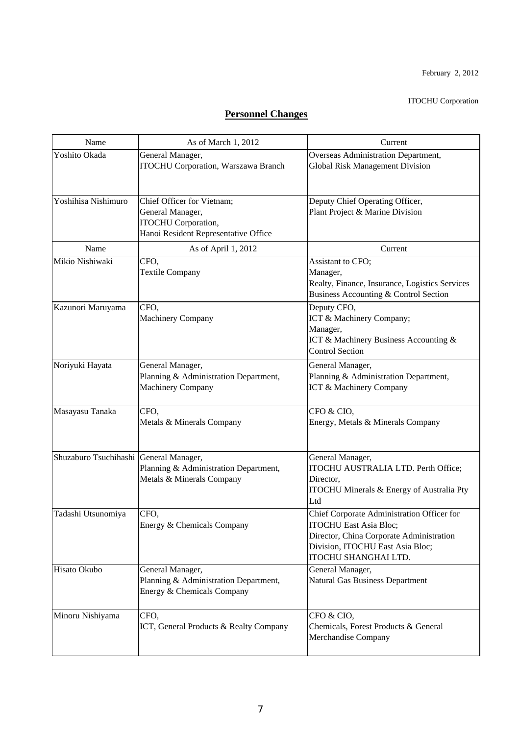#### ITOCHU Corporation

# **Personnel Changes**

| Name                                   | As of March 1, 2012                                                                                                  | Current                                                                                                                                                                             |
|----------------------------------------|----------------------------------------------------------------------------------------------------------------------|-------------------------------------------------------------------------------------------------------------------------------------------------------------------------------------|
| Yoshito Okada                          | General Manager,<br><b>ITOCHU Corporation</b> , Warszawa Branch                                                      | Overseas Administration Department,<br><b>Global Risk Management Division</b>                                                                                                       |
| Yoshihisa Nishimuro                    | Chief Officer for Vietnam;<br>General Manager,<br><b>ITOCHU</b> Corporation,<br>Hanoi Resident Representative Office | Deputy Chief Operating Officer,<br>Plant Project & Marine Division                                                                                                                  |
| Name                                   | As of April 1, 2012                                                                                                  | Current                                                                                                                                                                             |
| Mikio Nishiwaki                        | CFO,<br><b>Textile Company</b>                                                                                       | Assistant to CFO;<br>Manager,<br>Realty, Finance, Insurance, Logistics Services<br>Business Accounting & Control Section                                                            |
| Kazunori Maruyama                      | CFO.<br><b>Machinery Company</b>                                                                                     | Deputy CFO,<br>ICT & Machinery Company;<br>Manager,<br>ICT & Machinery Business Accounting &<br><b>Control Section</b>                                                              |
| Noriyuki Hayata                        | General Manager,<br>Planning & Administration Department,<br><b>Machinery Company</b>                                | General Manager,<br>Planning & Administration Department,<br>ICT & Machinery Company                                                                                                |
| Masayasu Tanaka                        | CFO,<br>Metals & Minerals Company                                                                                    | CFO & CIO,<br>Energy, Metals & Minerals Company                                                                                                                                     |
| Shuzaburo Tsuchihashi General Manager, | Planning & Administration Department,<br>Metals & Minerals Company                                                   | General Manager,<br>ITOCHU AUSTRALIA LTD. Perth Office;<br>Director,<br>ITOCHU Minerals & Energy of Australia Pty<br>Ltd                                                            |
| Tadashi Utsunomiya                     | CFO,<br>Energy & Chemicals Company                                                                                   | Chief Corporate Administration Officer for<br><b>ITOCHU East Asia Bloc;</b><br>Director, China Corporate Administration<br>Division, ITOCHU East Asia Bloc;<br>ITOCHU SHANGHAI LTD. |
| Hisato Okubo                           | General Manager,<br>Planning & Administration Department,<br>Energy & Chemicals Company                              | General Manager,<br><b>Natural Gas Business Department</b>                                                                                                                          |
| Minoru Nishiyama                       | CFO,<br>ICT, General Products & Realty Company                                                                       | CFO & CIO,<br>Chemicals, Forest Products & General<br>Merchandise Company                                                                                                           |